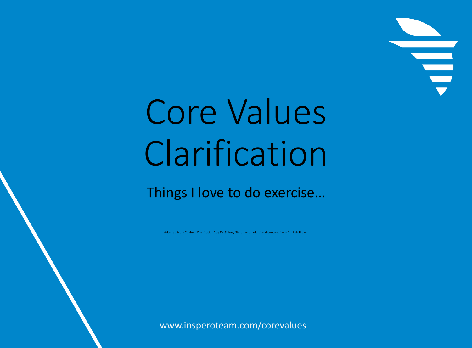## Core Values Clarification

## Things I love to do exercise…

Adapted from "Values Clarifcation" by Dr. Sidney Simon with additional content from Dr. Bob Frazer

www.insperoteam.com/corevalues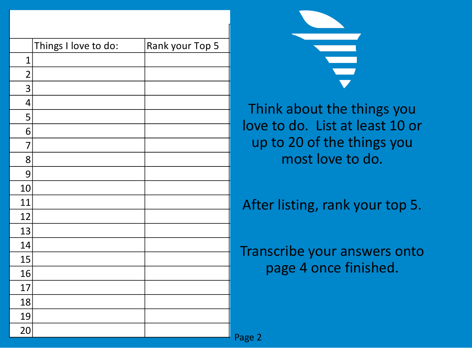|    | Things I love to do: | Rank your Top 5 |                                                                      |
|----|----------------------|-----------------|----------------------------------------------------------------------|
|    |                      |                 | $\begin{array}{c} \begin{array}{c} \text{d} \end{array} \end{array}$ |
|    |                      |                 |                                                                      |
|    |                      |                 |                                                                      |
|    |                      |                 | Think about the things you                                           |
|    |                      |                 |                                                                      |
|    |                      |                 | love to do. List at least 10 or                                      |
|    |                      |                 | up to 20 of the things you                                           |
|    |                      |                 | most love to do.                                                     |
| 9  |                      |                 |                                                                      |
| 10 |                      |                 |                                                                      |
| 11 |                      |                 | After listing, rank your top 5.                                      |
| 12 |                      |                 |                                                                      |
| 13 |                      |                 |                                                                      |
| 14 |                      |                 | Transcribe your answers onto                                         |
| 15 |                      |                 |                                                                      |
| 16 |                      |                 | page 4 once finished.                                                |
| 17 |                      |                 |                                                                      |
| 18 |                      |                 |                                                                      |
| 19 |                      |                 |                                                                      |
| 20 |                      |                 | Diag                                                                 |

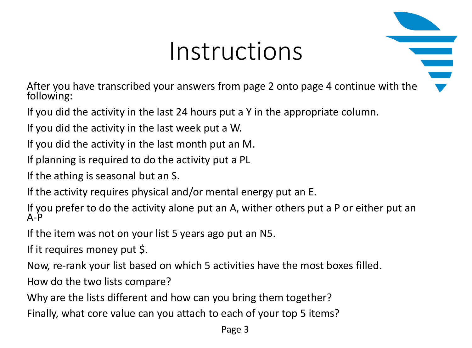## Instructions

After you have transcribed your answers from page 2 onto page 4 continue with the following:

If you did the activity in the last 24 hours put a Y in the appropriate column.

If you did the activity in the last week put a W.

If you did the activity in the last month put an M.

If planning is required to do the activity put a PL

If the athing is seasonal but an S.

If the activity requires physical and/or mental energy put an E.

If you prefer to do the activity alone put an A, wither others put a P or either put an A-P

If the item was not on your list 5 years ago put an N5.

If it requires money put \$.

Now, re-rank your list based on which 5 activities have the most boxes filled.

How do the two lists compare?

Why are the lists different and how can you bring them together?

Finally, what core value can you attach to each of your top 5 items?

Page 3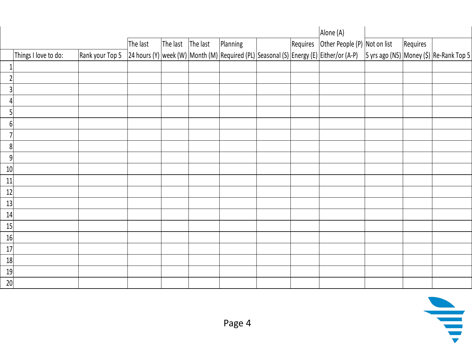|                  |                      |                 |          |                           |          |          | Alone (A)                                                                                                                      |          |  |
|------------------|----------------------|-----------------|----------|---------------------------|----------|----------|--------------------------------------------------------------------------------------------------------------------------------|----------|--|
|                  |                      |                 | The last | The last $\vert$ The last | Planning | Requires | Other People (P) Not on list                                                                                                   | Requires |  |
|                  | Things I love to do: | Rank your Top 5 |          |                           |          |          | 24 hours (Y) week (W) Month (M) Required (PL) Seasonal (S) Energy (E) Either/or (A-P)  5 yrs ago (N5) Money (\$) Re-Rank Top 5 |          |  |
|                  |                      |                 |          |                           |          |          |                                                                                                                                |          |  |
|                  |                      |                 |          |                           |          |          |                                                                                                                                |          |  |
|                  |                      |                 |          |                           |          |          |                                                                                                                                |          |  |
|                  |                      |                 |          |                           |          |          |                                                                                                                                |          |  |
| 5                |                      |                 |          |                           |          |          |                                                                                                                                |          |  |
| 6 <sup>1</sup>   |                      |                 |          |                           |          |          |                                                                                                                                |          |  |
|                  |                      |                 |          |                           |          |          |                                                                                                                                |          |  |
| 8                |                      |                 |          |                           |          |          |                                                                                                                                |          |  |
| $\boldsymbol{9}$ |                      |                 |          |                           |          |          |                                                                                                                                |          |  |
| 10               |                      |                 |          |                           |          |          |                                                                                                                                |          |  |
| 11               |                      |                 |          |                           |          |          |                                                                                                                                |          |  |
| 12               |                      |                 |          |                           |          |          |                                                                                                                                |          |  |
| 13               |                      |                 |          |                           |          |          |                                                                                                                                |          |  |
| 14               |                      |                 |          |                           |          |          |                                                                                                                                |          |  |
| 15               |                      |                 |          |                           |          |          |                                                                                                                                |          |  |
| 16               |                      |                 |          |                           |          |          |                                                                                                                                |          |  |
| $17$             |                      |                 |          |                           |          |          |                                                                                                                                |          |  |
| 18               |                      |                 |          |                           |          |          |                                                                                                                                |          |  |
| 19               |                      |                 |          |                           |          |          |                                                                                                                                |          |  |
| 20               |                      |                 |          |                           |          |          |                                                                                                                                |          |  |